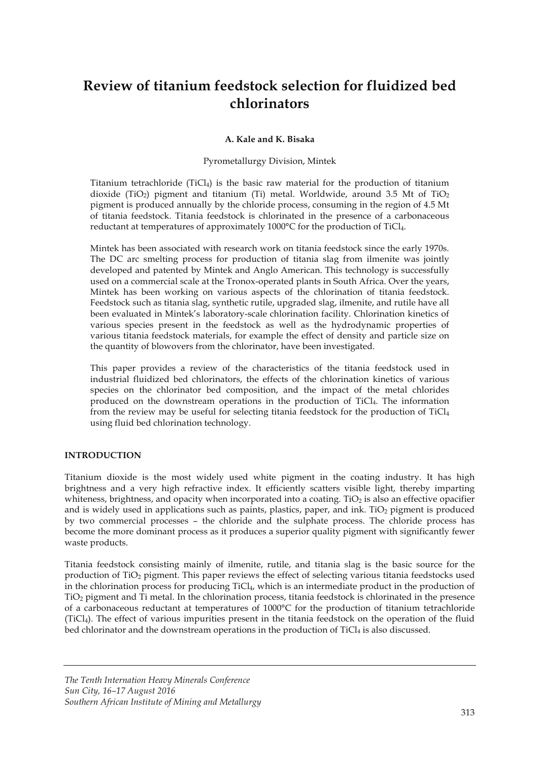# **Review of titanium feedstock selection for fluidized bed chlorinators**

# **A. Kale and K. Bisaka**

#### Pyrometallurgy Division, Mintek

Titanium tetrachloride (TiCl<sub>4</sub>) is the basic raw material for the production of titanium dioxide (TiO<sub>2</sub>) pigment and titanium (Ti) metal. Worldwide, around 3.5 Mt of TiO<sub>2</sub> pigment is produced annually by the chloride process, consuming in the region of 4.5 Mt of titania feedstock. Titania feedstock is chlorinated in the presence of a carbonaceous reductant at temperatures of approximately 1000°C for the production of TiCl4.

Mintek has been associated with research work on titania feedstock since the early 1970s. The DC arc smelting process for production of titania slag from ilmenite was jointly developed and patented by Mintek and Anglo American. This technology is successfully used on a commercial scale at the Tronox-operated plants in South Africa. Over the years, Mintek has been working on various aspects of the chlorination of titania feedstock. Feedstock such as titania slag, synthetic rutile, upgraded slag, ilmenite, and rutile have all been evaluated in Mintek's laboratory-scale chlorination facility. Chlorination kinetics of various species present in the feedstock as well as the hydrodynamic properties of various titania feedstock materials, for example the effect of density and particle size on the quantity of blowovers from the chlorinator, have been investigated.

This paper provides a review of the characteristics of the titania feedstock used in industrial fluidized bed chlorinators, the effects of the chlorination kinetics of various species on the chlorinator bed composition, and the impact of the metal chlorides produced on the downstream operations in the production of TiCl4. The information from the review may be useful for selecting titania feedstock for the production of TiCl4 using fluid bed chlorination technology.

#### **INTRODUCTION**

Titanium dioxide is the most widely used white pigment in the coating industry. It has high brightness and a very high refractive index. It efficiently scatters visible light, thereby imparting whiteness, brightness, and opacity when incorporated into a coating. TiO<sub>2</sub> is also an effective opacifier and is widely used in applications such as paints, plastics, paper, and ink. TiO<sub>2</sub> pigment is produced by two commercial processes – the chloride and the sulphate process. The chloride process has become the more dominant process as it produces a superior quality pigment with significantly fewer waste products.

Titania feedstock consisting mainly of ilmenite, rutile, and titania slag is the basic source for the production of TiO2 pigment. This paper reviews the effect of selecting various titania feedstocks used in the chlorination process for producing TiCl4, which is an intermediate product in the production of TiO2 pigment and Ti metal. In the chlorination process, titania feedstock is chlorinated in the presence of a carbonaceous reductant at temperatures of 1000°C for the production of titanium tetrachloride (TiCl4). The effect of various impurities present in the titania feedstock on the operation of the fluid bed chlorinator and the downstream operations in the production of TiCl<sub>4</sub> is also discussed.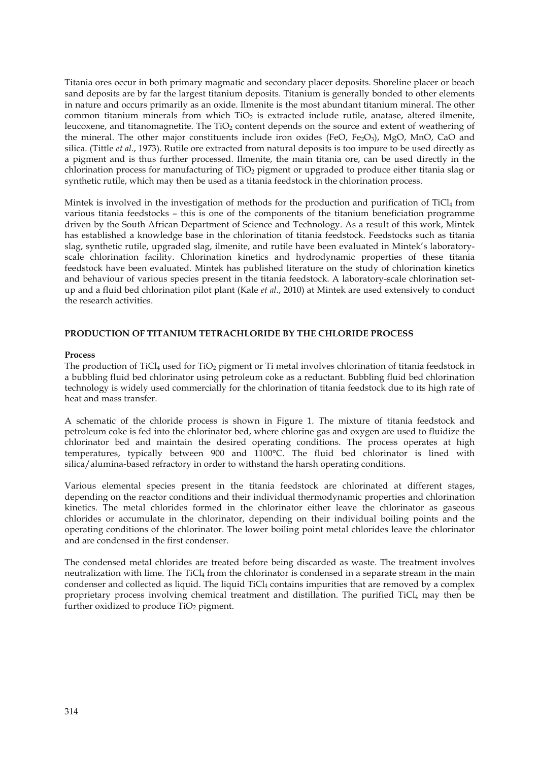Titania ores occur in both primary magmatic and secondary placer deposits. Shoreline placer or beach sand deposits are by far the largest titanium deposits. Titanium is generally bonded to other elements in nature and occurs primarily as an oxide. Ilmenite is the most abundant titanium mineral. The other common titanium minerals from which  $TiO<sub>2</sub>$  is extracted include rutile, anatase, altered ilmenite, leucoxene, and titanomagnetite. The  $TiO<sub>2</sub>$  content depends on the source and extent of weathering of the mineral. The other major constituents include iron oxides (FeO, Fe<sub>2</sub>O<sub>3</sub>), MgO, MnO, CaO and silica. (Tittle *et al*., 1973). Rutile ore extracted from natural deposits is too impure to be used directly as a pigment and is thus further processed. Ilmenite, the main titania ore, can be used directly in the chlorination process for manufacturing of TiO<sub>2</sub> pigment or upgraded to produce either titania slag or synthetic rutile, which may then be used as a titania feedstock in the chlorination process.

Mintek is involved in the investigation of methods for the production and purification of  $TiCl<sub>4</sub>$  from various titania feedstocks – this is one of the components of the titanium beneficiation programme driven by the South African Department of Science and Technology. As a result of this work, Mintek has established a knowledge base in the chlorination of titania feedstock. Feedstocks such as titania slag, synthetic rutile, upgraded slag, ilmenite, and rutile have been evaluated in Mintek's laboratoryscale chlorination facility. Chlorination kinetics and hydrodynamic properties of these titania feedstock have been evaluated. Mintek has published literature on the study of chlorination kinetics and behaviour of various species present in the titania feedstock. A laboratory-scale chlorination setup and a fluid bed chlorination pilot plant (Kale *et al*., 2010) at Mintek are used extensively to conduct the research activities.

# **PRODUCTION OF TITANIUM TETRACHLORIDE BY THE CHLORIDE PROCESS**

#### **Process**

The production of TiCl<sub>4</sub> used for TiO<sub>2</sub> pigment or Ti metal involves chlorination of titania feedstock in a bubbling fluid bed chlorinator using petroleum coke as a reductant. Bubbling fluid bed chlorination technology is widely used commercially for the chlorination of titania feedstock due to its high rate of heat and mass transfer.

A schematic of the chloride process is shown in Figure 1. The mixture of titania feedstock and petroleum coke is fed into the chlorinator bed, where chlorine gas and oxygen are used to fluidize the chlorinator bed and maintain the desired operating conditions. The process operates at high temperatures, typically between 900 and 1100°C. The fluid bed chlorinator is lined with silica/alumina-based refractory in order to withstand the harsh operating conditions.

Various elemental species present in the titania feedstock are chlorinated at different stages, depending on the reactor conditions and their individual thermodynamic properties and chlorination kinetics. The metal chlorides formed in the chlorinator either leave the chlorinator as gaseous chlorides or accumulate in the chlorinator, depending on their individual boiling points and the operating conditions of the chlorinator. The lower boiling point metal chlorides leave the chlorinator and are condensed in the first condenser.

The condensed metal chlorides are treated before being discarded as waste. The treatment involves neutralization with lime. The TiCl<sub>4</sub> from the chlorinator is condensed in a separate stream in the main condenser and collected as liquid. The liquid TiCl<sub>4</sub> contains impurities that are removed by a complex proprietary process involving chemical treatment and distillation. The purified TiCl<sub>4</sub> may then be further oxidized to produce  $TiO<sub>2</sub>$  pigment.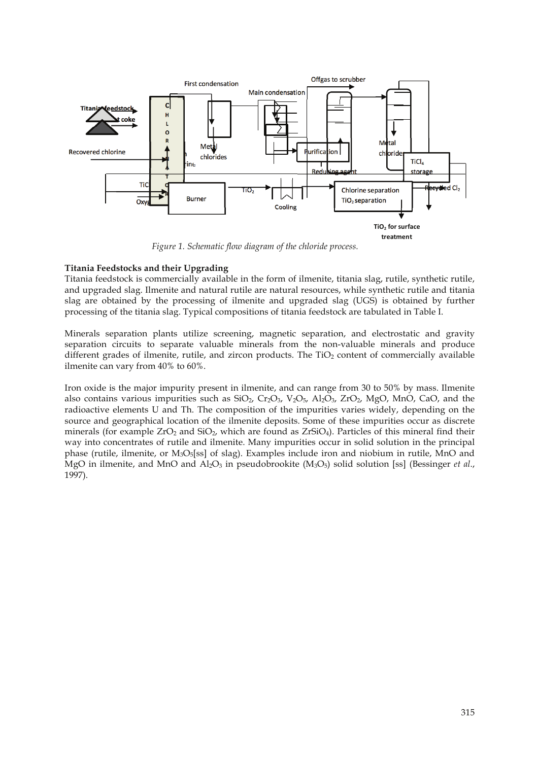

Figure 1. Schematic flow diagram of the chloride process.

## **Titania Feedstocks and their Upgrading**

Titania feedstock is commercially available in the form of ilmenite, titania slag, rutile, synthetic rutile, and upgraded slag. Ilmenite and natural rutile are natural resources, while synthetic rutile and titania slag are obtained by the processing of ilmenite and upgraded slag (UGS) is obtained by further processing of the titania slag. Typical compositions of titania feedstock are tabulated in Table I.

Minerals separation plants utilize screening, magnetic separation, and electrostatic and gravity separation circuits to separate valuable minerals from the non-valuable minerals and produce different grades of ilmenite, rutile, and zircon products. The  $TiO<sub>2</sub>$  content of commercially available ilmenite can vary from 40% to 60%.

Iron oxide is the major impurity present in ilmenite, and can range from 30 to 50% by mass. Ilmenite also contains various impurities such as  $SiO_2$ ,  $Cr_2O_3$ ,  $V_2O_5$ ,  $Al_2O_3$ ,  $ZrO_2$ ,  $MgO$ ,  $MnO$ , CaO, and the radioactive elements U and Th. The composition of the impurities varies widely, depending on the source and geographical location of the ilmenite deposits. Some of these impurities occur as discrete minerals (for example  $ZrO_2$  and  $SiO_2$ , which are found as  $ZrSiO_4$ ). Particles of this mineral find their way into concentrates of rutile and ilmenite. Many impurities occur in solid solution in the principal phase (rutile, ilmenite, or  $M_3O_5[ss]$  of slag). Examples include iron and niobium in rutile, MnO and MgO in ilmenite, and MnO and  $\text{Al}_2\text{O}_3$  in pseudobrookite (M<sub>3</sub>O<sub>5</sub>) solid solution [ss] (Bessinger *et al.*, 1997).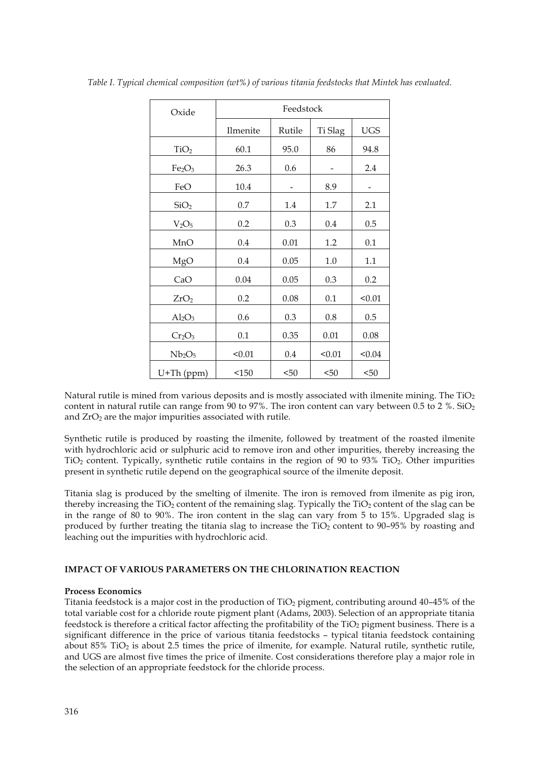| Oxide                          | Feedstock |        |         |            |
|--------------------------------|-----------|--------|---------|------------|
|                                | Ilmenite  | Rutile | Ti Slag | <b>UGS</b> |
| TiO <sub>2</sub>               | 60.1      | 95.0   | 86      | 94.8       |
| Fe <sub>2</sub> O <sub>3</sub> | 26.3      | 0.6    |         | 2.4        |
| FeO                            | 10.4      |        | 8.9     |            |
| SiO <sub>2</sub>               | 0.7       | 1.4    | 1.7     | 2.1        |
| V <sub>2</sub> O <sub>5</sub>  | 0.2       | 0.3    | 0.4     | 0.5        |
| MnO                            | 0.4       | 0.01   | 1.2     | 0.1        |
| MgO                            | 0.4       | 0.05   | 1.0     | 1.1        |
| CaO                            | 0.04      | 0.05   | 0.3     | 0.2        |
| ZrO <sub>2</sub>               | 0.2       | 0.08   | 0.1     | < 0.01     |
| $Al_2O_3$                      | 0.6       | 0.3    | 0.8     | 0.5        |
| Cr <sub>2</sub> O <sub>3</sub> | 0.1       | 0.35   | 0.01    | 0.08       |
| Nb <sub>2</sub> O <sub>5</sub> | < 0.01    | 0.4    | < 0.01  | < 0.04     |
| U+Th (ppm)                     | <150      | < 50   | < 50    | < 50       |

*Table I. Typical chemical composition (wt%) of various titania feedstocks that Mintek has evaluated.* 

Natural rutile is mined from various deposits and is mostly associated with ilmenite mining. The  $TiO<sub>2</sub>$ content in natural rutile can range from 90 to 97%. The iron content can vary between 0.5 to 2 %. SiO<sub>2</sub> and ZrO<sub>2</sub> are the major impurities associated with rutile.

Synthetic rutile is produced by roasting the ilmenite, followed by treatment of the roasted ilmenite with hydrochloric acid or sulphuric acid to remove iron and other impurities, thereby increasing the  $TiO<sub>2</sub>$  content. Typically, synthetic rutile contains in the region of 90 to 93% TiO<sub>2</sub>. Other impurities present in synthetic rutile depend on the geographical source of the ilmenite deposit.

Titania slag is produced by the smelting of ilmenite. The iron is removed from ilmenite as pig iron, thereby increasing the  $TiO<sub>2</sub>$  content of the remaining slag. Typically the  $TiO<sub>2</sub>$  content of the slag can be in the range of 80 to 90%. The iron content in the slag can vary from 5 to 15%. Upgraded slag is produced by further treating the titania slag to increase the TiO<sub>2</sub> content to 90-95% by roasting and leaching out the impurities with hydrochloric acid.

# **IMPACT OF VARIOUS PARAMETERS ON THE CHLORINATION REACTION**

#### **Process Economics**

Titania feedstock is a major cost in the production of  $TiO<sub>2</sub>$  pigment, contributing around 40–45% of the total variable cost for a chloride route pigment plant (Adams, 2003). Selection of an appropriate titania feedstock is therefore a critical factor affecting the profitability of the TiO<sub>2</sub> pigment business. There is a significant difference in the price of various titania feedstocks – typical titania feedstock containing about 85% TiO2 is about 2.5 times the price of ilmenite, for example. Natural rutile, synthetic rutile, and UGS are almost five times the price of ilmenite. Cost considerations therefore play a major role in the selection of an appropriate feedstock for the chloride process.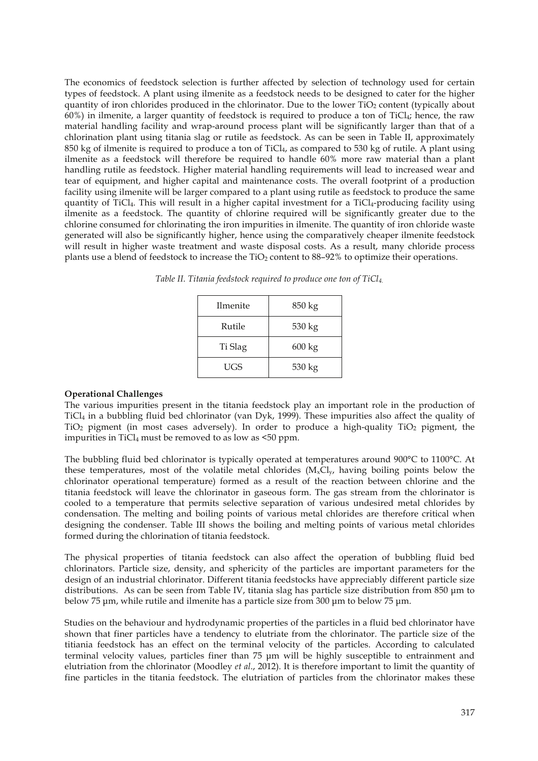The economics of feedstock selection is further affected by selection of technology used for certain types of feedstock. A plant using ilmenite as a feedstock needs to be designed to cater for the higher quantity of iron chlorides produced in the chlorinator. Due to the lower TiO2 content (typically about  $60\%$ ) in ilmenite, a larger quantity of feedstock is required to produce a ton of TiCl<sub>4</sub>; hence, the raw material handling facility and wrap-around process plant will be significantly larger than that of a chlorination plant using titania slag or rutile as feedstock. As can be seen in Table II, approximately 850 kg of ilmenite is required to produce a ton of  $TiCl<sub>4</sub>$ , as compared to 530 kg of rutile. A plant using ilmenite as a feedstock will therefore be required to handle 60% more raw material than a plant handling rutile as feedstock. Higher material handling requirements will lead to increased wear and tear of equipment, and higher capital and maintenance costs. The overall footprint of a production facility using ilmenite will be larger compared to a plant using rutile as feedstock to produce the same quantity of TiCl4. This will result in a higher capital investment for a TiCl4-producing facility using ilmenite as a feedstock. The quantity of chlorine required will be significantly greater due to the chlorine consumed for chlorinating the iron impurities in ilmenite. The quantity of iron chloride waste generated will also be significantly higher, hence using the comparatively cheaper ilmenite feedstock will result in higher waste treatment and waste disposal costs. As a result, many chloride process plants use a blend of feedstock to increase the TiO<sub>2</sub> content to 88-92% to optimize their operations.

| Ilmenite | 850 kg           |
|----------|------------------|
| Rutile   | 530 kg           |
| Ti Slag  | $600 \text{ kg}$ |
| UGS      | 530 kg           |

*Table II. Titania feedstock required to produce one ton of TiCl4.*

#### **Operational Challenges**

The various impurities present in the titania feedstock play an important role in the production of TiCl4 in a bubbling fluid bed chlorinator (van Dyk, 1999). These impurities also affect the quality of TiO2 pigment (in most cases adversely). In order to produce a high-quality TiO2 pigment, the impurities in  $TiCl<sub>4</sub>$  must be removed to as low as  $\leq 50$  ppm.

The bubbling fluid bed chlorinator is typically operated at temperatures around 900°C to 1100°C. At these temperatures, most of the volatile metal chlorides  $(M_xCl_y)$ , having boiling points below the chlorinator operational temperature) formed as a result of the reaction between chlorine and the titania feedstock will leave the chlorinator in gaseous form. The gas stream from the chlorinator is cooled to a temperature that permits selective separation of various undesired metal chlorides by condensation. The melting and boiling points of various metal chlorides are therefore critical when designing the condenser. Table III shows the boiling and melting points of various metal chlorides formed during the chlorination of titania feedstock.

The physical properties of titania feedstock can also affect the operation of bubbling fluid bed chlorinators. Particle size, density, and sphericity of the particles are important parameters for the design of an industrial chlorinator. Different titania feedstocks have appreciably different particle size distributions. As can be seen from Table IV, titania slag has particle size distribution from 850 μm to below 75 μm, while rutile and ilmenite has a particle size from 300 μm to below 75 μm.

Studies on the behaviour and hydrodynamic properties of the particles in a fluid bed chlorinator have shown that finer particles have a tendency to elutriate from the chlorinator. The particle size of the titiania feedstock has an effect on the terminal velocity of the particles. According to calculated terminal velocity values, particles finer than 75 μm will be highly susceptible to entrainment and elutriation from the chlorinator (Moodley *et al*., 2012). It is therefore important to limit the quantity of fine particles in the titania feedstock. The elutriation of particles from the chlorinator makes these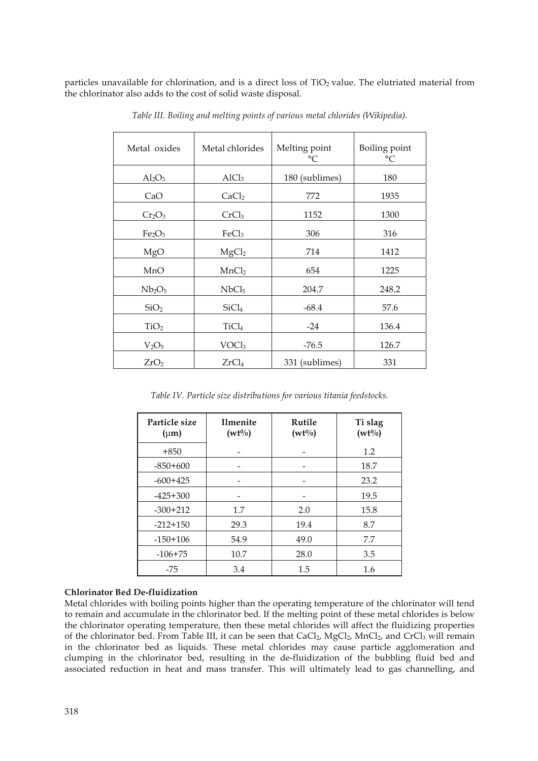particles unavailable for chlorination, and is a direct loss of  $TiO<sub>2</sub>$  value. The elutriated material from the chlorinator also adds to the cost of solid waste disposal.

| Metal oxides                   | Metal chlorides   | Melting point<br>°C | Boiling point<br>$^{\circ}C$ |
|--------------------------------|-------------------|---------------------|------------------------------|
| $Al_2O_3$                      | AICl <sub>3</sub> | 180 (sublimes)      | 180                          |
| CaO                            | CaCl <sub>2</sub> | 772                 | 1935                         |
| $Cr_2O_3$                      | CrCl <sub>3</sub> | 1152                | 1300                         |
| Fe <sub>2</sub> O <sub>3</sub> | FeCl <sub>3</sub> | 306                 | 316                          |
| MgO                            | MgCl <sub>2</sub> | 714                 | 1412                         |
| MnO                            | MnCl <sub>2</sub> | 654                 | 1225                         |
| Nb <sub>2</sub> O <sub>5</sub> | NbCl <sub>5</sub> | 204.7               | 248.2                        |
| SiO <sub>2</sub>               | SiCl <sub>4</sub> | $-68.4$             | 57.6                         |
| TiO <sub>2</sub>               | TiCl <sub>4</sub> | $-24$               | 136.4                        |
| V <sub>2</sub> O <sub>5</sub>  | VOCl <sub>3</sub> | $-76.5$             | 126.7                        |
| ZrO <sub>2</sub>               | ZrCl <sub>4</sub> | 331 (sublimes)      | 331                          |

*Table III. Boiling and melting points of various metal chlorides (Wikipedia).* 

*Table IV. Particle size distributions for various titania feedstocks.*

| Particle size<br>$(\mu m)$ | <b>Ilmenite</b><br>$(wt\%)$ | Rutile<br>$(wt\%)$ | Ti slag<br>$(wt\%)$ |
|----------------------------|-----------------------------|--------------------|---------------------|
| $+850$                     |                             |                    | 1.2                 |
| $-850+600$                 |                             |                    | 18.7                |
| $-600+425$                 |                             |                    | 23.2                |
| $-425+300$                 |                             |                    | 19.5                |
| $-300+212$                 | 1.7                         | 2.0                | 15.8                |
| $-212+150$                 | 29.3                        | 19.4               | 8.7                 |
| $-150+106$                 | 54.9                        | 49.0               | 7.7                 |
| $-106+75$                  | 10.7                        | 28.0               | 3.5                 |
| -75                        | 3.4                         | 1.5                | 1.6                 |

# **Chlorinator Bed De-fluidization**

Metal chlorides with boiling points higher than the operating temperature of the chlorinator will tend to remain and accumulate in the chlorinator bed. If the melting point of these metal chlorides is below the chlorinator operating temperature, then these metal chlorides will affect the fluidizing properties of the chlorinator bed. From Table III, it can be seen that  $CaCl<sub>2</sub>$ ,  $MgCl<sub>2</sub>$ ,  $MnCl<sub>2</sub>$ , and  $CrCl<sub>3</sub>$  will remain in the chlorinator bed as liquids. These metal chlorides may cause particle agglomeration and clumping in the chlorinator bed, resulting in the de-fluidization of the bubbling fluid bed and associated reduction in heat and mass transfer. This will ultimately lead to gas channelling, and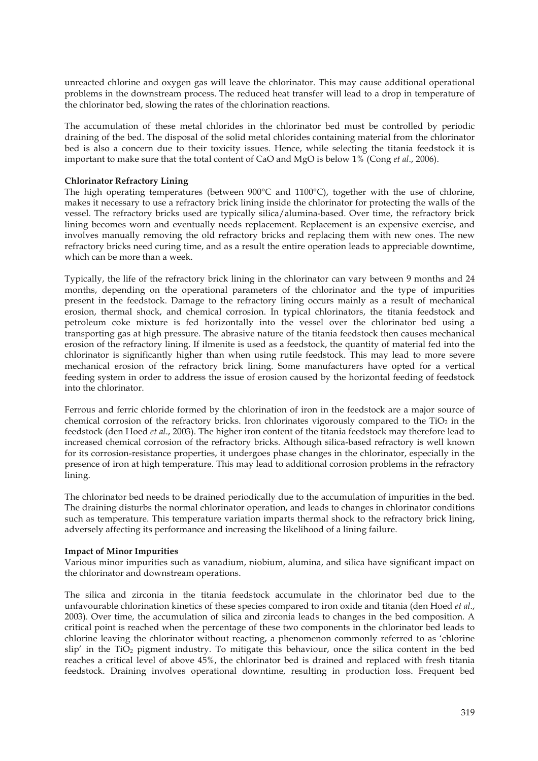unreacted chlorine and oxygen gas will leave the chlorinator. This may cause additional operational problems in the downstream process. The reduced heat transfer will lead to a drop in temperature of the chlorinator bed, slowing the rates of the chlorination reactions.

The accumulation of these metal chlorides in the chlorinator bed must be controlled by periodic draining of the bed. The disposal of the solid metal chlorides containing material from the chlorinator bed is also a concern due to their toxicity issues. Hence, while selecting the titania feedstock it is important to make sure that the total content of CaO and MgO is below 1% (Cong *et al*., 2006).

# **Chlorinator Refractory Lining**

The high operating temperatures (between 900°C and 1100°C), together with the use of chlorine, makes it necessary to use a refractory brick lining inside the chlorinator for protecting the walls of the vessel. The refractory bricks used are typically silica/alumina-based. Over time, the refractory brick lining becomes worn and eventually needs replacement. Replacement is an expensive exercise, and involves manually removing the old refractory bricks and replacing them with new ones. The new refractory bricks need curing time, and as a result the entire operation leads to appreciable downtime, which can be more than a week.

Typically, the life of the refractory brick lining in the chlorinator can vary between 9 months and 24 months, depending on the operational parameters of the chlorinator and the type of impurities present in the feedstock. Damage to the refractory lining occurs mainly as a result of mechanical erosion, thermal shock, and chemical corrosion. In typical chlorinators, the titania feedstock and petroleum coke mixture is fed horizontally into the vessel over the chlorinator bed using a transporting gas at high pressure. The abrasive nature of the titania feedstock then causes mechanical erosion of the refractory lining. If ilmenite is used as a feedstock, the quantity of material fed into the chlorinator is significantly higher than when using rutile feedstock. This may lead to more severe mechanical erosion of the refractory brick lining. Some manufacturers have opted for a vertical feeding system in order to address the issue of erosion caused by the horizontal feeding of feedstock into the chlorinator.

Ferrous and ferric chloride formed by the chlorination of iron in the feedstock are a major source of chemical corrosion of the refractory bricks. Iron chlorinates vigorously compared to the  $TiO<sub>2</sub>$  in the feedstock (den Hoed *et al*., 2003). The higher iron content of the titania feedstock may therefore lead to increased chemical corrosion of the refractory bricks. Although silica-based refractory is well known for its corrosion-resistance properties, it undergoes phase changes in the chlorinator, especially in the presence of iron at high temperature. This may lead to additional corrosion problems in the refractory lining.

The chlorinator bed needs to be drained periodically due to the accumulation of impurities in the bed. The draining disturbs the normal chlorinator operation, and leads to changes in chlorinator conditions such as temperature. This temperature variation imparts thermal shock to the refractory brick lining, adversely affecting its performance and increasing the likelihood of a lining failure.

#### **Impact of Minor Impurities**

Various minor impurities such as vanadium, niobium, alumina, and silica have significant impact on the chlorinator and downstream operations.

The silica and zirconia in the titania feedstock accumulate in the chlorinator bed due to the unfavourable chlorination kinetics of these species compared to iron oxide and titania (den Hoed *et al*., 2003). Over time, the accumulation of silica and zirconia leads to changes in the bed composition. A critical point is reached when the percentage of these two components in the chlorinator bed leads to chlorine leaving the chlorinator without reacting, a phenomenon commonly referred to as 'chlorine  $\sin^2$  in the TiO<sub>2</sub> pigment industry. To mitigate this behaviour, once the silica content in the bed reaches a critical level of above 45%, the chlorinator bed is drained and replaced with fresh titania feedstock. Draining involves operational downtime, resulting in production loss. Frequent bed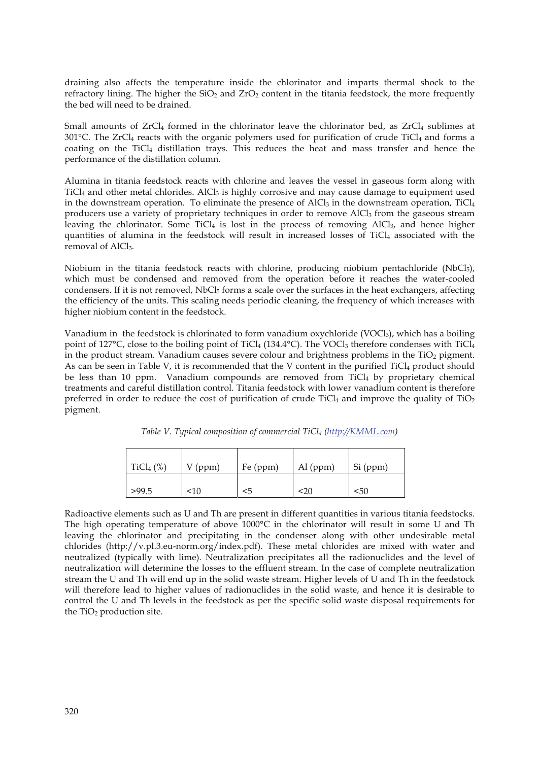draining also affects the temperature inside the chlorinator and imparts thermal shock to the refractory lining. The higher the  $SiO<sub>2</sub>$  and  $ZrO<sub>2</sub>$  content in the titania feedstock, the more frequently the bed will need to be drained.

Small amounts of  $ZrCl<sub>4</sub>$  formed in the chlorinator leave the chlorinator bed, as  $ZrCl<sub>4</sub>$  sublimes at 301°C. The ZrCl<sub>4</sub> reacts with the organic polymers used for purification of crude TiCl<sub>4</sub> and forms a coating on the TiCl<sub>4</sub> distillation trays. This reduces the heat and mass transfer and hence the performance of the distillation column.

Alumina in titania feedstock reacts with chlorine and leaves the vessel in gaseous form along with TiCl<sub>4</sub> and other metal chlorides. AlCl<sub>3</sub> is highly corrosive and may cause damage to equipment used in the downstream operation. To eliminate the presence of AlCl<sub>3</sub> in the downstream operation, TiCl<sub>4</sub> producers use a variety of proprietary techniques in order to remove AlCl<sub>3</sub> from the gaseous stream leaving the chlorinator. Some TiCl<sub>4</sub> is lost in the process of removing AlCl<sub>3</sub>, and hence higher quantities of alumina in the feedstock will result in increased losses of TiCl4 associated with the removal of AlCl<sub>3</sub>.

Niobium in the titania feedstock reacts with chlorine, producing niobium pentachloride (NbCl5), which must be condensed and removed from the operation before it reaches the water-cooled condensers. If it is not removed, NbCl<sub>5</sub> forms a scale over the surfaces in the heat exchangers, affecting the efficiency of the units. This scaling needs periodic cleaning, the frequency of which increases with higher niobium content in the feedstock.

Vanadium in the feedstock is chlorinated to form vanadium oxychloride (VOCl<sub>3</sub>), which has a boiling point of 127 $^{\circ}$ C, close to the boiling point of TiCl<sub>4</sub> (134.4 $^{\circ}$ C). The VOCl<sub>3</sub> therefore condenses with TiCl<sub>4</sub> in the product stream. Vanadium causes severe colour and brightness problems in the  $TiO<sub>2</sub>$  pigment. As can be seen in Table V, it is recommended that the V content in the purified  $TiCl<sub>4</sub>$  product should be less than 10 ppm. Vanadium compounds are removed from TiCl<sub>4</sub> by proprietary chemical treatments and careful distillation control. Titania feedstock with lower vanadium content is therefore preferred in order to reduce the cost of purification of crude TiCl<sub>4</sub> and improve the quality of TiO<sub>2</sub> pigment.

| TiCl <sub>4</sub> $(\%)$ | $V$ (ppm) | Fe (ppm) | $Al$ (ppm) | Si (ppm) |
|--------------------------|-----------|----------|------------|----------|
| >99.5                    | <10       | <5       | <20        | <50      |

*Table V. Typical composition of commercial TiCl4 (http://KMML.com)* 

Radioactive elements such as U and Th are present in different quantities in various titania feedstocks. The high operating temperature of above 1000°C in the chlorinator will result in some U and Th leaving the chlorinator and precipitating in the condenser along with other undesirable metal chlorides (http://v.pl.3.eu-norm.org/index.pdf). These metal chlorides are mixed with water and neutralized (typically with lime). Neutralization precipitates all the radionuclides and the level of neutralization will determine the losses to the effluent stream. In the case of complete neutralization stream the U and Th will end up in the solid waste stream. Higher levels of U and Th in the feedstock will therefore lead to higher values of radionuclides in the solid waste, and hence it is desirable to control the U and Th levels in the feedstock as per the specific solid waste disposal requirements for the TiO<sub>2</sub> production site.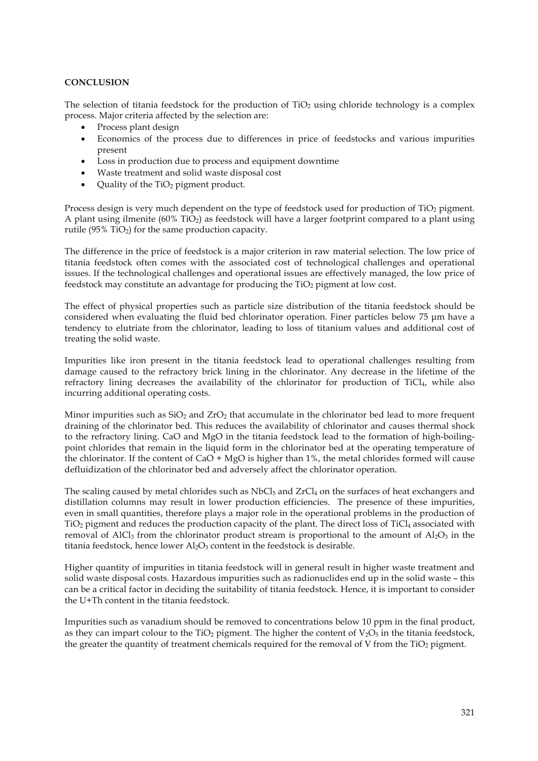# **CONCLUSION**

The selection of titania feedstock for the production of  $TiO<sub>2</sub>$  using chloride technology is a complex process. Major criteria affected by the selection are:

- Process plant design
- Economics of the process due to differences in price of feedstocks and various impurities present
- Loss in production due to process and equipment downtime
- Waste treatment and solid waste disposal cost
- Quality of the  $TiO<sub>2</sub>$  pigment product.

Process design is very much dependent on the type of feedstock used for production of TiO<sub>2</sub> pigment. A plant using ilmenite (60% TiO2) as feedstock will have a larger footprint compared to a plant using rutile (95%  $TiO<sub>2</sub>$ ) for the same production capacity.

The difference in the price of feedstock is a major criterion in raw material selection. The low price of titania feedstock often comes with the associated cost of technological challenges and operational issues. If the technological challenges and operational issues are effectively managed, the low price of feedstock may constitute an advantage for producing the TiO<sub>2</sub> pigment at low cost.

The effect of physical properties such as particle size distribution of the titania feedstock should be considered when evaluating the fluid bed chlorinator operation. Finer particles below 75 μm have a tendency to elutriate from the chlorinator, leading to loss of titanium values and additional cost of treating the solid waste.

Impurities like iron present in the titania feedstock lead to operational challenges resulting from damage caused to the refractory brick lining in the chlorinator. Any decrease in the lifetime of the refractory lining decreases the availability of the chlorinator for production of  $TiCl<sub>4</sub>$ , while also incurring additional operating costs.

Minor impurities such as  $SiO<sub>2</sub>$  and  $ZrO<sub>2</sub>$  that accumulate in the chlorinator bed lead to more frequent draining of the chlorinator bed. This reduces the availability of chlorinator and causes thermal shock to the refractory lining. CaO and MgO in the titania feedstock lead to the formation of high-boilingpoint chlorides that remain in the liquid form in the chlorinator bed at the operating temperature of the chlorinator. If the content of  $CaO + MgO$  is higher than 1%, the metal chlorides formed will cause defluidization of the chlorinator bed and adversely affect the chlorinator operation.

The scaling caused by metal chlorides such as  $NbCl<sub>5</sub>$  and  $ZrCl<sub>4</sub>$  on the surfaces of heat exchangers and distillation columns may result in lower production efficiencies. The presence of these impurities, even in small quantities, therefore plays a major role in the operational problems in the production of TiO2 pigment and reduces the production capacity of the plant. The direct loss of TiCl4 associated with removal of AlCl<sub>3</sub> from the chlorinator product stream is proportional to the amount of  $Al_2O_3$  in the titania feedstock, hence lower  $A<sub>1</sub>$ O<sub>3</sub> content in the feedstock is desirable.

Higher quantity of impurities in titania feedstock will in general result in higher waste treatment and solid waste disposal costs. Hazardous impurities such as radionuclides end up in the solid waste – this can be a critical factor in deciding the suitability of titania feedstock. Hence, it is important to consider the U+Th content in the titania feedstock.

Impurities such as vanadium should be removed to concentrations below 10 ppm in the final product, as they can impart colour to the TiO<sub>2</sub> pigment. The higher the content of  $V_2O_5$  in the titania feedstock, the greater the quantity of treatment chemicals required for the removal of V from the  $TiO<sub>2</sub>$  pigment.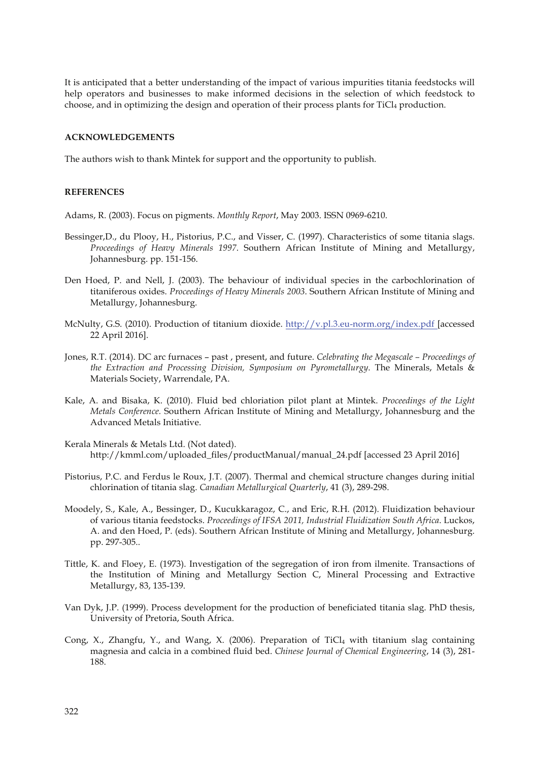It is anticipated that a better understanding of the impact of various impurities titania feedstocks will help operators and businesses to make informed decisions in the selection of which feedstock to choose, and in optimizing the design and operation of their process plants for  $TiCl<sub>4</sub>$  production.

#### **ACKNOWLEDGEMENTS**

The authors wish to thank Mintek for support and the opportunity to publish.

#### **REFERENCES**

Adams, R. (2003). Focus on pigments. *Monthly Report*, May 2003. ISSN 0969-6210.

- Bessinger,D., du Plooy, H., Pistorius, P.C., and Visser, C. (1997). Characteristics of some titania slags. *Proceedings of Heavy Minerals 1997*. Southern African Institute of Mining and Metallurgy, Johannesburg. pp. 151-156.
- Den Hoed, P. and Nell, J. (2003). The behaviour of individual species in the carbochlorination of titaniferous oxides. *Proceedings of Heavy Minerals 2003*. Southern African Institute of Mining and Metallurgy, Johannesburg.
- McNulty, G.S. (2010). Production of titanium dioxide. http://v.pl.3.eu-norm.org/index.pdf [accessed 22 April 2016].
- Jones, R.T. (2014). DC arc furnaces past , present, and future. *Celebrating the Megascale Proceedings of the Extraction and Processing Division, Symposium on Pyrometallurgy*. The Minerals, Metals & Materials Society, Warrendale, PA.
- Kale, A. and Bisaka, K. (2010). Fluid bed chloriation pilot plant at Mintek. *Proceedings of the Light Metals Conference.* Southern African Institute of Mining and Metallurgy, Johannesburg and the Advanced Metals Initiative.
- Kerala Minerals & Metals Ltd. (Not dated). http://kmml.com/uploaded\_files/productManual/manual\_24.pdf [accessed 23 April 2016]
- Pistorius, P.C. and Ferdus le Roux, J.T. (2007). Thermal and chemical structure changes during initial chlorination of titania slag. *Canadian Metallurgical Quarterly*, 41 (3), 289-298.
- Moodely, S., Kale, A., Bessinger, D., Kucukkaragoz, C., and Eric, R.H. (2012). Fluidization behaviour of various titania feedstocks. *Proceedings of IFSA 2011, Industrial Fluidization South Africa*. Luckos, A. and den Hoed, P. (eds). Southern African Institute of Mining and Metallurgy, Johannesburg. pp. 297-305..
- Tittle, K. and Floey, E. (1973). Investigation of the segregation of iron from ilmenite. Transactions of the Institution of Mining and Metallurgy Section C, Mineral Processing and Extractive Metallurgy, 83, 135-139.
- Van Dyk, J.P. (1999). Process development for the production of beneficiated titania slag. PhD thesis, University of Pretoria, South Africa.
- Cong, X., Zhangfu, Y., and Wang, X. (2006). Preparation of TiCl<sub>4</sub> with titanium slag containing magnesia and calcia in a combined fluid bed. *Chinese Journal of Chemical Engineering*, 14 (3), 281- 188.